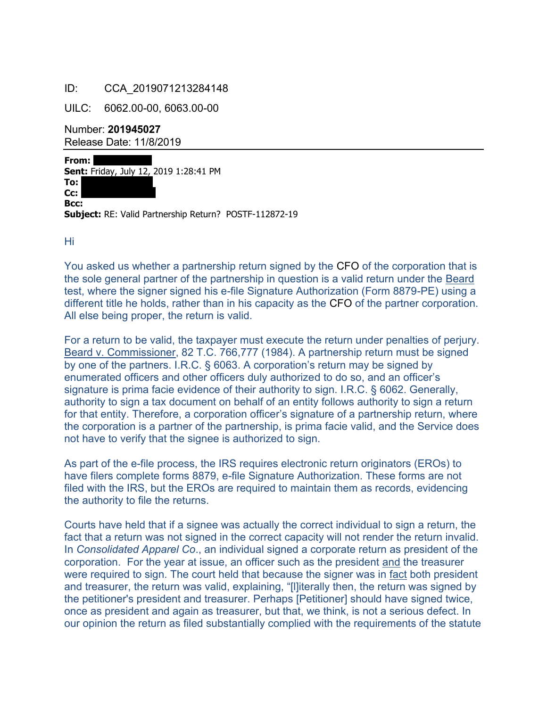## ID: CCA\_2019071213284148

UILC: 6062.00-00, 6063.00-00

Number: **201945027** Release Date: 11/8/2019

**From: Sent:** Friday, July 12, 2019 1:28:41 PM **To: Cc: Bcc: Subject:** RE: Valid Partnership Return? POSTF-112872-19

 $Hi<sub>1</sub>$ 

You asked us whether a partnership return signed by the CFO of the corporation that is the sole general partner of the partnership in question is a valid return under the Beard test, where the signer signed his e-file Signature Authorization (Form 8879-PE) using a different title he holds, rather than in his capacity as the CFO of the partner corporation. All else being proper, the return is valid.

For a return to be valid, the taxpayer must execute the return under penalties of perjury. Beard v. Commissioner, 82 T.C. 766,777 (1984). A partnership return must be signed by one of the partners. I.R.C. § 6063. A corporation's return may be signed by enumerated officers and other officers duly authorized to do so, and an officer's signature is prima facie evidence of their authority to sign. I.R.C. § 6062. Generally, authority to sign a tax document on behalf of an entity follows authority to sign a return for that entity. Therefore, a corporation officer's signature of a partnership return, where the corporation is a partner of the partnership, is prima facie valid, and the Service does not have to verify that the signee is authorized to sign.

As part of the e-file process, the IRS requires electronic return originators (EROs) to have filers complete forms 8879, e-file Signature Authorization. These forms are not filed with the IRS, but the EROs are required to maintain them as records, evidencing the authority to file the returns.

Courts have held that if a signee was actually the correct individual to sign a return, the fact that a return was not signed in the correct capacity will not render the return invalid. In *Consolidated Apparel Co*., an individual signed a corporate return as president of the corporation. For the year at issue, an officer such as the president and the treasurer were required to sign. The court held that because the signer was in fact both president and treasurer, the return was valid, explaining, "[l]iterally then, the return was signed by the petitioner's president and treasurer. Perhaps [Petitioner] should have signed twice, once as president and again as treasurer, but that, we think, is not a serious defect. In our opinion the return as filed substantially complied with the requirements of the statute